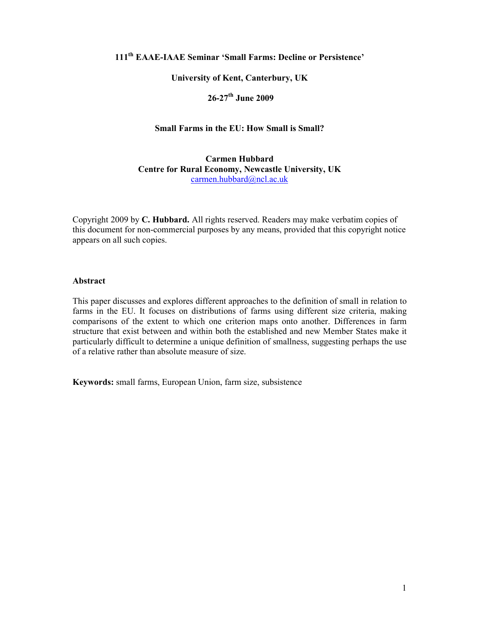# **111th EAAE-IAAE Seminar 'Small Farms: Decline or Persistence'**

### **University of Kent, Canterbury, UK**

# **26-27th June 2009**

# **Small Farms in the EU: How Small is Small?**

**Carmen Hubbard Centre for Rural Economy, Newcastle University, UK**  carmen.hubbard@ncl.ac.uk

Copyright 2009 by **C. Hubbard.** All rights reserved. Readers may make verbatim copies of this document for non-commercial purposes by any means, provided that this copyright notice appears on all such copies.

#### **Abstract**

This paper discusses and explores different approaches to the definition of small in relation to farms in the EU. It focuses on distributions of farms using different size criteria, making comparisons of the extent to which one criterion maps onto another. Differences in farm structure that exist between and within both the established and new Member States make it particularly difficult to determine a unique definition of smallness, suggesting perhaps the use of a relative rather than absolute measure of size.

**Keywords:** small farms, European Union, farm size, subsistence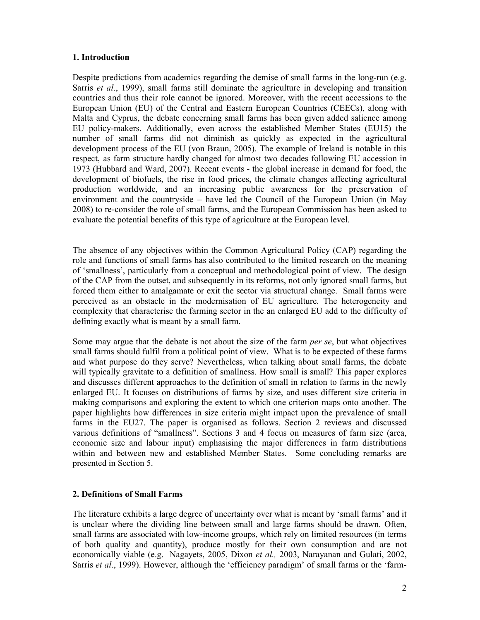# **1. Introduction**

Despite predictions from academics regarding the demise of small farms in the long-run (e.g. Sarris *et al*., 1999), small farms still dominate the agriculture in developing and transition countries and thus their role cannot be ignored. Moreover, with the recent accessions to the European Union (EU) of the Central and Eastern European Countries (CEECs), along with Malta and Cyprus, the debate concerning small farms has been given added salience among EU policy-makers. Additionally, even across the established Member States (EU15) the number of small farms did not diminish as quickly as expected in the agricultural development process of the EU (von Braun, 2005). The example of Ireland is notable in this respect, as farm structure hardly changed for almost two decades following EU accession in 1973 (Hubbard and Ward, 2007). Recent events - the global increase in demand for food, the development of biofuels, the rise in food prices, the climate changes affecting agricultural production worldwide, and an increasing public awareness for the preservation of environment and the countryside – have led the Council of the European Union (in May 2008) to re-consider the role of small farms, and the European Commission has been asked to evaluate the potential benefits of this type of agriculture at the European level.

The absence of any objectives within the Common Agricultural Policy (CAP) regarding the role and functions of small farms has also contributed to the limited research on the meaning of 'smallness', particularly from a conceptual and methodological point of view. The design of the CAP from the outset, and subsequently in its reforms, not only ignored small farms, but forced them either to amalgamate or exit the sector via structural change. Small farms were perceived as an obstacle in the modernisation of EU agriculture. The heterogeneity and complexity that characterise the farming sector in the an enlarged EU add to the difficulty of defining exactly what is meant by a small farm.

Some may argue that the debate is not about the size of the farm *per se*, but what objectives small farms should fulfil from a political point of view. What is to be expected of these farms and what purpose do they serve? Nevertheless, when talking about small farms, the debate will typically gravitate to a definition of smallness. How small is small? This paper explores and discusses different approaches to the definition of small in relation to farms in the newly enlarged EU. It focuses on distributions of farms by size, and uses different size criteria in making comparisons and exploring the extent to which one criterion maps onto another. The paper highlights how differences in size criteria might impact upon the prevalence of small farms in the EU27. The paper is organised as follows. Section 2 reviews and discussed various definitions of "smallness". Sections 3 and 4 focus on measures of farm size (area, economic size and labour input) emphasising the major differences in farm distributions within and between new and established Member States. Some concluding remarks are presented in Section 5.

# **2. Definitions of Small Farms**

The literature exhibits a large degree of uncertainty over what is meant by 'small farms' and it is unclear where the dividing line between small and large farms should be drawn. Often, small farms are associated with low-income groups, which rely on limited resources (in terms of both quality and quantity), produce mostly for their own consumption and are not economically viable (e.g. Nagayets, 2005, Dixon *et al.,* 2003, Narayanan and Gulati, 2002, Sarris *et al*., 1999). However, although the 'efficiency paradigm' of small farms or the 'farm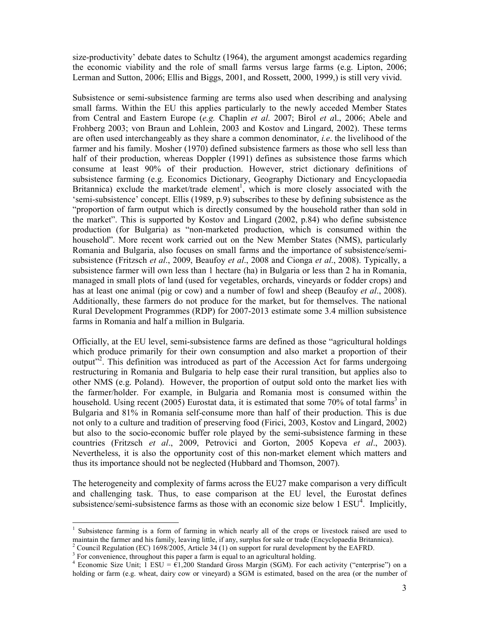size-productivity' debate dates to Schultz (1964), the argument amongst academics regarding the economic viability and the role of small farms versus large farms (e.g. Lipton, 2006; Lerman and Sutton, 2006; Ellis and Biggs, 2001, and Rossett, 2000, 1999,) is still very vivid.

Subsistence or semi-subsistence farming are terms also used when describing and analysing small farms. Within the EU this applies particularly to the newly acceded Member States from Central and Eastern Europe (*e.g.* Chaplin *et al*. 2007; Birol *et a*l., 2006; Abele and Frohberg 2003; von Braun and Lohlein, 2003 and Kostov and Lingard, 2002). These terms are often used interchangeably as they share a common denominator, *i.e*. the livelihood of the farmer and his family. Mosher (1970) defined subsistence farmers as those who sell less than half of their production, whereas Doppler (1991) defines as subsistence those farms which consume at least 90% of their production. However, strict dictionary definitions of subsistence farming (e.g. Economics Dictionary, Geography Dictionary and Encyclopaedia Britannica) exclude the market/trade element<sup>1</sup>, which is more closely associated with the 'semi-subsistence' concept. Ellis (1989, p.9) subscribes to these by defining subsistence as the "proportion of farm output which is directly consumed by the household rather than sold in the market". This is supported by Kostov and Lingard (2002, p.84) who define subsistence production (for Bulgaria) as "non-marketed production, which is consumed within the household". More recent work carried out on the New Member States (NMS), particularly Romania and Bulgaria, also focuses on small farms and the importance of subsistence/semisubsistence (Fritzsch *et al*., 2009, Beaufoy *et al*., 2008 and Cionga *et al*., 2008). Typically, a subsistence farmer will own less than 1 hectare (ha) in Bulgaria or less than 2 ha in Romania, managed in small plots of land (used for vegetables, orchards, vineyards or fodder crops) and has at least one animal (pig or cow) and a number of fowl and sheep (Beaufoy *et al*., 2008). Additionally, these farmers do not produce for the market, but for themselves. The national Rural Development Programmes (RDP) for 2007-2013 estimate some 3.4 million subsistence farms in Romania and half a million in Bulgaria.

Officially, at the EU level, semi-subsistence farms are defined as those "agricultural holdings which produce primarily for their own consumption and also market a proportion of their output<sup>32</sup>. This definition was introduced as part of the Accession Act for farms undergoing restructuring in Romania and Bulgaria to help ease their rural transition, but applies also to other NMS (e.g. Poland). However, the proportion of output sold onto the market lies with the farmer/holder. For example, in Bulgaria and Romania most is consumed within the household. Using recent (2005) Eurostat data, it is estimated that some 70% of total farms<sup>3</sup> in Bulgaria and 81% in Romania self-consume more than half of their production. This is due not only to a culture and tradition of preserving food (Firici, 2003, Kostov and Lingard, 2002) but also to the socio-economic buffer role played by the semi-subsistence farming in these countries (Fritzsch *et al*., 2009, Petrovici and Gorton, 2005 Kopeva *et al*., 2003). Nevertheless, it is also the opportunity cost of this non-market element which matters and thus its importance should not be neglected (Hubbard and Thomson, 2007).

The heterogeneity and complexity of farms across the EU27 make comparison a very difficult and challenging task. Thus, to ease comparison at the EU level, the Eurostat defines subsistence/semi-subsistence farms as those with an economic size below  $1 \text{ ESU}^4$ . Implicitly,

 $3$  For convenience, throughout this paper a farm is equal to an agricultural holding.

 $\ddot{\phantom{a}}$ 1 Subsistence farming is a form of farming in which nearly all of the crops or livestock raised are used to maintain the farmer and his family, leaving little, if any, surplus for sale or trade (Encyclopaedia Britannica).

<sup>&</sup>lt;sup>2</sup> Council Regulation (EC) 1698/2005, Article 34 (1) on support for rural development by the EAFRD.

<sup>&</sup>lt;sup>4</sup> Economic Size Unit; 1 ESU =  $\hat{\epsilon}1,200$  Standard Gross Margin (SGM). For each activity ("enterprise") on a holding or farm (e.g. wheat, dairy cow or vineyard) a SGM is estimated, based on the area (or the number of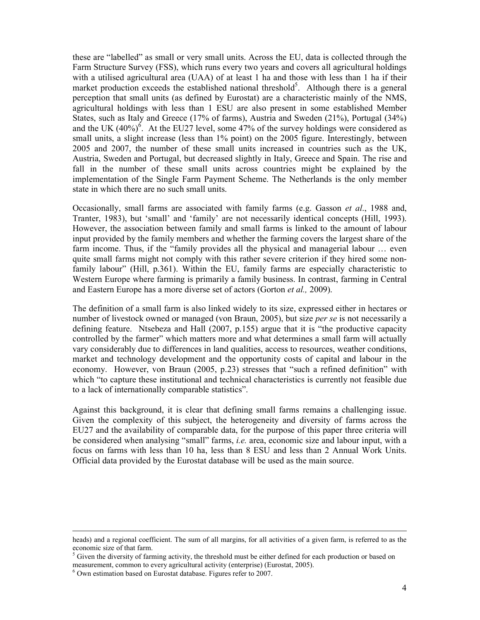these are "labelled" as small or very small units. Across the EU, data is collected through the Farm Structure Survey (FSS), which runs every two years and covers all agricultural holdings with a utilised agricultural area (UAA) of at least 1 ha and those with less than 1 ha if their market production exceeds the established national threshold<sup>5</sup>. Although there is a general perception that small units (as defined by Eurostat) are a characteristic mainly of the NMS, agricultural holdings with less than 1 ESU are also present in some established Member States, such as Italy and Greece (17% of farms), Austria and Sweden (21%), Portugal (34%) and the UK  $(40%)^6$ . At the EU27 level, some 47% of the survey holdings were considered as small units, a slight increase (less than 1% point) on the 2005 figure. Interestingly, between 2005 and 2007, the number of these small units increased in countries such as the UK, Austria, Sweden and Portugal, but decreased slightly in Italy, Greece and Spain. The rise and fall in the number of these small units across countries might be explained by the implementation of the Single Farm Payment Scheme. The Netherlands is the only member state in which there are no such small units.

Occasionally, small farms are associated with family farms (e.g. Gasson *et al*., 1988 and, Tranter, 1983), but 'small' and 'family' are not necessarily identical concepts (Hill, 1993). However, the association between family and small farms is linked to the amount of labour input provided by the family members and whether the farming covers the largest share of the farm income. Thus, if the "family provides all the physical and managerial labour … even quite small farms might not comply with this rather severe criterion if they hired some nonfamily labour" (Hill, p.361). Within the EU, family farms are especially characteristic to Western Europe where farming is primarily a family business. In contrast, farming in Central and Eastern Europe has a more diverse set of actors (Gorton *et al.,* 2009).

The definition of a small farm is also linked widely to its size, expressed either in hectares or number of livestock owned or managed (von Braun, 2005), but size *per se* is not necessarily a defining feature. Ntsebeza and Hall (2007, p.155) argue that it is "the productive capacity controlled by the farmer" which matters more and what determines a small farm will actually vary considerably due to differences in land qualities, access to resources, weather conditions, market and technology development and the opportunity costs of capital and labour in the economy. However, von Braun (2005, p.23) stresses that "such a refined definition" with which "to capture these institutional and technical characteristics is currently not feasible due to a lack of internationally comparable statistics".

Against this background, it is clear that defining small farms remains a challenging issue. Given the complexity of this subject, the heterogeneity and diversity of farms across the EU27 and the availability of comparable data, for the purpose of this paper three criteria will be considered when analysing "small" farms, *i.e.* area, economic size and labour input, with a focus on farms with less than 10 ha, less than 8 ESU and less than 2 Annual Work Units. Official data provided by the Eurostat database will be used as the main source.

 $\ddot{\phantom{a}}$ 

heads) and a regional coefficient. The sum of all margins, for all activities of a given farm, is referred to as the economic size of that farm.

 $<sup>5</sup>$  Given the diversity of farming activity, the threshold must be either defined for each production or based on</sup> measurement, common to every agricultural activity (enterprise) (Eurostat, 2005).

<sup>6</sup> Own estimation based on Eurostat database. Figures refer to 2007.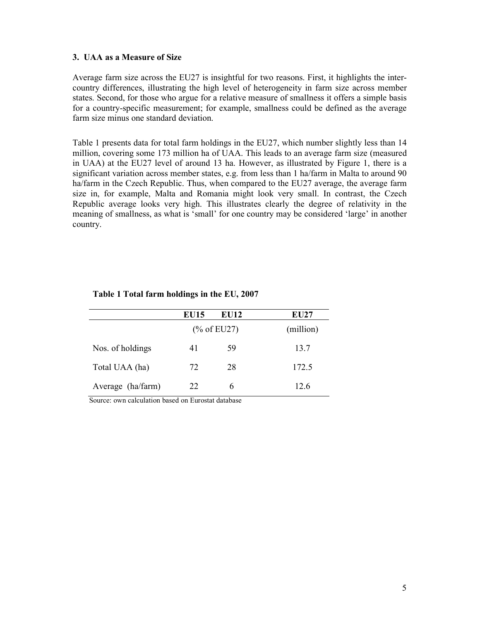#### **3. UAA as a Measure of Size**

Average farm size across the EU27 is insightful for two reasons. First, it highlights the intercountry differences, illustrating the high level of heterogeneity in farm size across member states. Second, for those who argue for a relative measure of smallness it offers a simple basis for a country-specific measurement; for example, smallness could be defined as the average farm size minus one standard deviation.

Table 1 presents data for total farm holdings in the EU27, which number slightly less than 14 million, covering some 173 million ha of UAA. This leads to an average farm size (measured in UAA) at the EU27 level of around 13 ha. However, as illustrated by Figure 1, there is a significant variation across member states, e.g. from less than 1 ha/farm in Malta to around 90 ha/farm in the Czech Republic. Thus, when compared to the EU27 average, the average farm size in, for example, Malta and Romania might look very small. In contrast, the Czech Republic average looks very high. This illustrates clearly the degree of relativity in the meaning of smallness, as what is 'small' for one country may be considered 'large' in another country.

|                   | <b>EU15</b>            | <b>EU12</b> | <b>EU27</b> |
|-------------------|------------------------|-------------|-------------|
|                   | $(\% \text{ of EU27})$ |             | (million)   |
| Nos. of holdings  | 41                     | 59          | 13.7        |
| Total UAA (ha)    | 72                     | 28          | 172.5       |
| Average (ha/farm) | 22                     | 6           | 12.6        |

### **Table 1 Total farm holdings in the EU, 2007**

Source: own calculation based on Eurostat database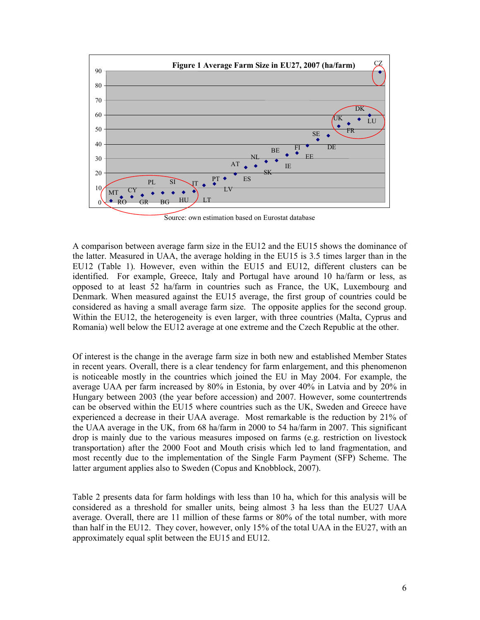

Source: own estimation based on Eurostat database

A comparison between average farm size in the EU12 and the EU15 shows the dominance of the latter. Measured in UAA, the average holding in the EU15 is 3.5 times larger than in the EU12 (Table 1). However, even within the EU15 and EU12, different clusters can be identified. For example, Greece, Italy and Portugal have around 10 ha/farm or less, as opposed to at least 52 ha/farm in countries such as France, the UK, Luxembourg and Denmark. When measured against the EU15 average, the first group of countries could be considered as having a small average farm size. The opposite applies for the second group. Within the EU12, the heterogeneity is even larger, with three countries (Malta, Cyprus and Romania) well below the EU12 average at one extreme and the Czech Republic at the other.

Of interest is the change in the average farm size in both new and established Member States in recent years. Overall, there is a clear tendency for farm enlargement, and this phenomenon is noticeable mostly in the countries which joined the EU in May 2004. For example, the average UAA per farm increased by 80% in Estonia, by over 40% in Latvia and by 20% in Hungary between 2003 (the year before accession) and 2007. However, some countertrends can be observed within the EU15 where countries such as the UK, Sweden and Greece have experienced a decrease in their UAA average. Most remarkable is the reduction by 21% of the UAA average in the UK, from 68 ha/farm in 2000 to 54 ha/farm in 2007. This significant drop is mainly due to the various measures imposed on farms (e.g. restriction on livestock transportation) after the 2000 Foot and Mouth crisis which led to land fragmentation, and most recently due to the implementation of the Single Farm Payment (SFP) Scheme. The latter argument applies also to Sweden (Copus and Knobblock, 2007).

Table 2 presents data for farm holdings with less than 10 ha, which for this analysis will be considered as a threshold for smaller units, being almost 3 ha less than the EU27 UAA average. Overall, there are 11 million of these farms or 80% of the total number, with more than half in the EU12. They cover, however, only 15% of the total UAA in the EU27, with an approximately equal split between the EU15 and EU12.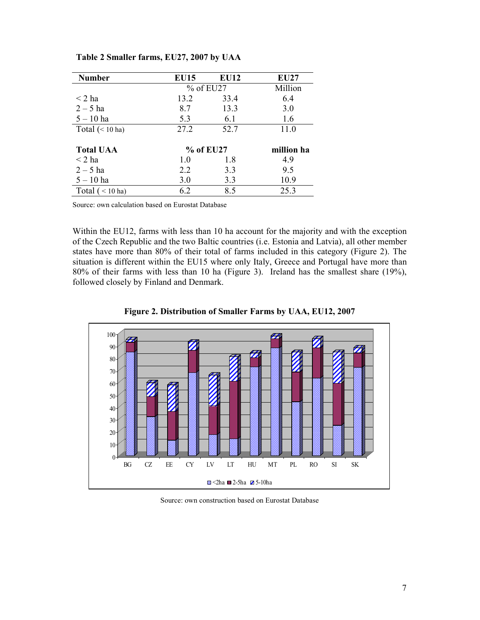| <b>Number</b>             | <b>EU15</b> | <b>EU12</b> | <b>EU27</b> |
|---------------------------|-------------|-------------|-------------|
|                           | $%$ of EU27 |             | Million     |
| $\leq$ 2 ha               | 13.2        | 33.4        | 6.4         |
| $2 - 5$ ha                | 8.7         | 13.3        | 3.0         |
| $5 - 10$ ha               | 5.3         | 6.1         | 1.6         |
| Total $(< 10 \text{ ha})$ | 27.2        | 52.7        | 11.0        |
| <b>Total UAA</b>          | % of EU27   |             | million ha  |
| $\leq$ 2 ha               | 1.0         | 1.8         | 4.9         |
| $2 - 5$ ha                | 2.2         | 3.3         | 9.5         |
| $5 - 10$ ha               | 3.0         | 3.3         | 10.9        |
| Total $(< 10 \text{ ha})$ | 6.2         | 8.5         | 25.3        |

# **Table 2 Smaller farms, EU27, 2007 by UAA**

Source: own calculation based on Eurostat Database

Within the EU12, farms with less than 10 ha account for the majority and with the exception of the Czech Republic and the two Baltic countries (i.e. Estonia and Latvia), all other member states have more than 80% of their total of farms included in this category (Figure 2). The situation is different within the EU15 where only Italy, Greece and Portugal have more than 80% of their farms with less than 10 ha (Figure 3). Ireland has the smallest share (19%), followed closely by Finland and Denmark.



**Figure 2. Distribution of Smaller Farms by UAA, EU12, 2007** 

Source: own construction based on Eurostat Database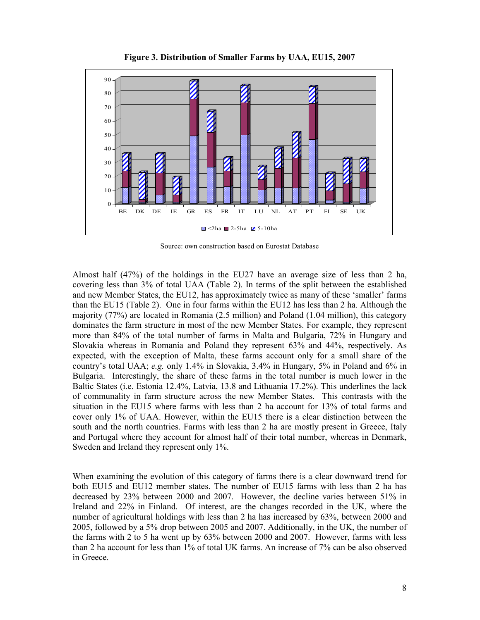

**Figure 3. Distribution of Smaller Farms by UAA, EU15, 2007** 

Source: own construction based on Eurostat Database

Almost half (47%) of the holdings in the EU27 have an average size of less than 2 ha, covering less than 3% of total UAA (Table 2). In terms of the split between the established and new Member States, the EU12, has approximately twice as many of these 'smaller' farms than the EU15 (Table 2). One in four farms within the EU12 has less than 2 ha. Although the majority (77%) are located in Romania (2.5 million) and Poland (1.04 million), this category dominates the farm structure in most of the new Member States. For example, they represent more than 84% of the total number of farms in Malta and Bulgaria, 72% in Hungary and Slovakia whereas in Romania and Poland they represent 63% and 44%, respectively. As expected, with the exception of Malta, these farms account only for a small share of the country's total UAA; *e.g.* only 1.4% in Slovakia, 3.4% in Hungary, 5% in Poland and 6% in Bulgaria. Interestingly, the share of these farms in the total number is much lower in the Baltic States (i.e. Estonia 12.4%, Latvia, 13.8 and Lithuania 17.2%). This underlines the lack of communality in farm structure across the new Member States. This contrasts with the situation in the EU15 where farms with less than 2 ha account for 13% of total farms and cover only 1% of UAA. However, within the EU15 there is a clear distinction between the south and the north countries. Farms with less than 2 ha are mostly present in Greece, Italy and Portugal where they account for almost half of their total number, whereas in Denmark, Sweden and Ireland they represent only 1%.

When examining the evolution of this category of farms there is a clear downward trend for both EU15 and EU12 member states. The number of EU15 farms with less than 2 ha has decreased by 23% between 2000 and 2007. However, the decline varies between 51% in Ireland and 22% in Finland. Of interest, are the changes recorded in the UK, where the number of agricultural holdings with less than 2 ha has increased by 63%, between 2000 and 2005, followed by a 5% drop between 2005 and 2007. Additionally, in the UK, the number of the farms with 2 to 5 ha went up by 63% between 2000 and 2007. However, farms with less than 2 ha account for less than 1% of total UK farms. An increase of 7% can be also observed in Greece.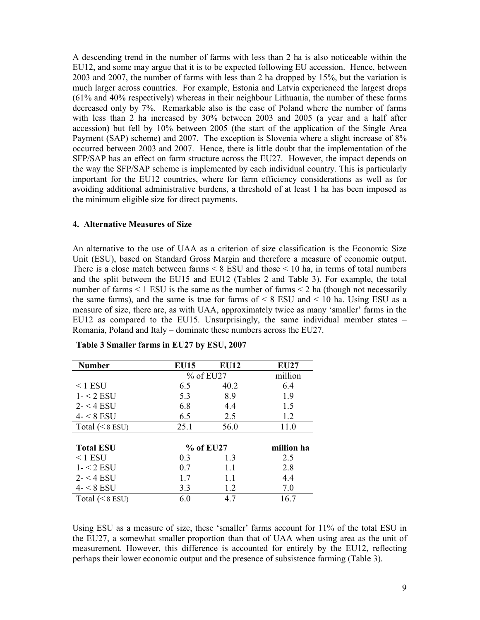A descending trend in the number of farms with less than 2 ha is also noticeable within the EU12, and some may argue that it is to be expected following EU accession. Hence, between 2003 and 2007, the number of farms with less than 2 ha dropped by 15%, but the variation is much larger across countries. For example, Estonia and Latvia experienced the largest drops (61% and 40% respectively) whereas in their neighbour Lithuania, the number of these farms decreased only by 7%. Remarkable also is the case of Poland where the number of farms with less than 2 ha increased by 30% between 2003 and 2005 (a year and a half after accession) but fell by 10% between 2005 (the start of the application of the Single Area Payment (SAP) scheme) and 2007. The exception is Slovenia where a slight increase of 8% occurred between 2003 and 2007. Hence, there is little doubt that the implementation of the SFP/SAP has an effect on farm structure across the EU27. However, the impact depends on the way the SFP/SAP scheme is implemented by each individual country. This is particularly important for the EU12 countries, where for farm efficiency considerations as well as for avoiding additional administrative burdens, a threshold of at least 1 ha has been imposed as the minimum eligible size for direct payments.

#### **4. Alternative Measures of Size**

An alternative to the use of UAA as a criterion of size classification is the Economic Size Unit (ESU), based on Standard Gross Margin and therefore a measure of economic output. There is a close match between farms < 8 ESU and those < 10 ha, in terms of total numbers and the split between the EU15 and EU12 (Tables 2 and Table 3). For example, the total number of farms  $\leq 1$  ESU is the same as the number of farms  $\leq 2$  ha (though not necessarily the same farms), and the same is true for farms of  $\leq 8$  ESU and  $\leq 10$  ha. Using ESU as a measure of size, there are, as with UAA, approximately twice as many 'smaller' farms in the EU12 as compared to the EU15. Unsurprisingly, the same individual member states  $-$ Romania, Poland and Italy – dominate these numbers across the EU27.

| <b>Number</b>     | <b>EU15</b> | <b>EU12</b> | <b>EU27</b> |
|-------------------|-------------|-------------|-------------|
|                   | $%$ of EU27 |             | million     |
| $<$ 1 ESU         | 6.5         | 40.2        | 6.4         |
| $1 - 2$ ESU       | 5.3         | 8.9         | 1.9         |
| $2 - 4$ ESU       | 6.8         | 4.4         | 1.5         |
| $4 - 8$ ESU       | 6.5         | 2.5         | 1.2         |
| Total $(< 8$ ESU) | 25.1        | 56.0        | 11.0        |
|                   |             |             |             |
| <b>Total ESU</b>  | $%$ of EU27 |             | million ha  |
| $<$ 1 ESU         | 0.3         | 1.3         | 2.5         |
| $1 - 2$ ESU       | 0.7         | 1.1         | 2.8         |
| $2 - 4$ ESU       | 1.7         | 1.1         | 4.4         |
| $4 - 8$ ESU       | 3.3         | 1.2         | 7.0         |
| Total $(< 8$ ESU) | 6.0         | 4.7         | 16.7        |

**Table 3 Smaller farms in EU27 by ESU, 2007** 

Using ESU as a measure of size, these 'smaller' farms account for 11% of the total ESU in the EU27, a somewhat smaller proportion than that of UAA when using area as the unit of measurement. However, this difference is accounted for entirely by the EU12, reflecting perhaps their lower economic output and the presence of subsistence farming (Table 3).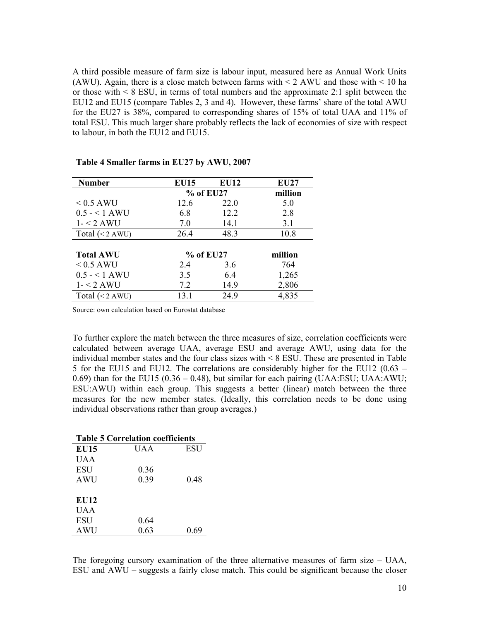A third possible measure of farm size is labour input, measured here as Annual Work Units (AWU). Again, there is a close match between farms with  $\leq$  2 AWU and those with  $\leq$  10 ha or those with  $\leq 8$  ESU, in terms of total numbers and the approximate 2:1 split between the EU12 and EU15 (compare Tables 2, 3 and 4). However, these farms' share of the total AWU for the EU27 is 38%, compared to corresponding shares of 15% of total UAA and 11% of total ESU. This much larger share probably reflects the lack of economies of size with respect to labour, in both the EU12 and EU15.

| <b>Number</b>             | <b>EU15</b> | <b>EU12</b> | <b>EU27</b> |
|---------------------------|-------------|-------------|-------------|
|                           | % of EU27   |             | million     |
| $< 0.5$ AWU               | 12.6        | 22.0        | 5.0         |
| $0.5 - 1 A WU$            | 6.8         | 12.2        | 2.8         |
| $1 - 2 AWU$               | 7.0         | 14.1        | 3.1         |
| Total $(< 2 \text{ AWU})$ | 26.4        | 48.3        | 10.8        |
|                           |             |             |             |
| <b>Total AWU</b>          | % of EU27   |             | million     |
| $< 0.5$ AWU               | 2.4         | 3.6         | 764         |
| $0.5 - 1$ AWU             | 3.5         | 6.4         | 1,265       |
| $1 - 2 AWU$               | 7.2         | 14.9        | 2,806       |
| Total $(< 2 \text{ AWU})$ | 13.1        | 24.9        | 4,835       |

**Table 4 Smaller farms in EU27 by AWU, 2007** 

Source: own calculation based on Eurostat database

To further explore the match between the three measures of size, correlation coefficients were calculated between average UAA, average ESU and average AWU, using data for the individual member states and the four class sizes with < 8 ESU. These are presented in Table 5 for the EU15 and EU12. The correlations are considerably higher for the EU12 (0.63 – 0.69) than for the EU15 (0.36 – 0.48), but similar for each pairing (UAA:ESU; UAA:AWU; ESU:AWU) within each group. This suggests a better (linear) match between the three measures for the new member states. (Ideally, this correlation needs to be done using individual observations rather than group averages.)

| <b>Table 5 Correlation coefficients</b> |         |       |
|-----------------------------------------|---------|-------|
| <b>EU15</b>                             | I J A A | ESU   |
| UAA                                     |         |       |
| <b>ESU</b>                              | 0.36    |       |
| <b>AWU</b>                              | 0.39    | 0.48  |
|                                         |         |       |
| EU12                                    |         |       |
| UAA                                     |         |       |
| <b>ESU</b>                              | 0.64    |       |
| <b>AWU</b>                              | 0.63    | () 69 |

The foregoing cursory examination of the three alternative measures of farm size – UAA, ESU and AWU – suggests a fairly close match. This could be significant because the closer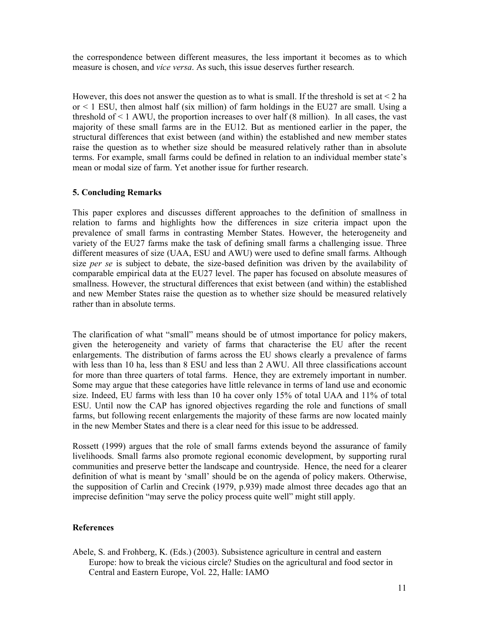the correspondence between different measures, the less important it becomes as to which measure is chosen, and *vice versa*. As such, this issue deserves further research.

However, this does not answer the question as to what is small. If the threshold is set at  $\leq 2$  ha or  $\leq$  1 ESU, then almost half (six million) of farm holdings in the EU27 are small. Using a threshold of  $\leq 1$  AWU, the proportion increases to over half (8 million). In all cases, the vast majority of these small farms are in the EU12. But as mentioned earlier in the paper, the structural differences that exist between (and within) the established and new member states raise the question as to whether size should be measured relatively rather than in absolute terms. For example, small farms could be defined in relation to an individual member state's mean or modal size of farm. Yet another issue for further research.

# **5. Concluding Remarks**

This paper explores and discusses different approaches to the definition of smallness in relation to farms and highlights how the differences in size criteria impact upon the prevalence of small farms in contrasting Member States. However, the heterogeneity and variety of the EU27 farms make the task of defining small farms a challenging issue. Three different measures of size (UAA, ESU and AWU) were used to define small farms. Although size *per se* is subject to debate, the size-based definition was driven by the availability of comparable empirical data at the EU27 level. The paper has focused on absolute measures of smallness. However, the structural differences that exist between (and within) the established and new Member States raise the question as to whether size should be measured relatively rather than in absolute terms.

The clarification of what "small" means should be of utmost importance for policy makers, given the heterogeneity and variety of farms that characterise the EU after the recent enlargements. The distribution of farms across the EU shows clearly a prevalence of farms with less than 10 ha, less than 8 ESU and less than 2 AWU. All three classifications account for more than three quarters of total farms. Hence, they are extremely important in number. Some may argue that these categories have little relevance in terms of land use and economic size. Indeed, EU farms with less than 10 ha cover only 15% of total UAA and 11% of total ESU. Until now the CAP has ignored objectives regarding the role and functions of small farms, but following recent enlargements the majority of these farms are now located mainly in the new Member States and there is a clear need for this issue to be addressed.

Rossett (1999) argues that the role of small farms extends beyond the assurance of family livelihoods. Small farms also promote regional economic development, by supporting rural communities and preserve better the landscape and countryside. Hence, the need for a clearer definition of what is meant by 'small' should be on the agenda of policy makers. Otherwise, the supposition of Carlin and Crecink (1979, p.939) made almost three decades ago that an imprecise definition "may serve the policy process quite well" might still apply.

### **References**

Abele, S. and Frohberg, K. (Eds.) (2003). Subsistence agriculture in central and eastern Europe: how to break the vicious circle? Studies on the agricultural and food sector in Central and Eastern Europe, Vol. 22, Halle: IAMO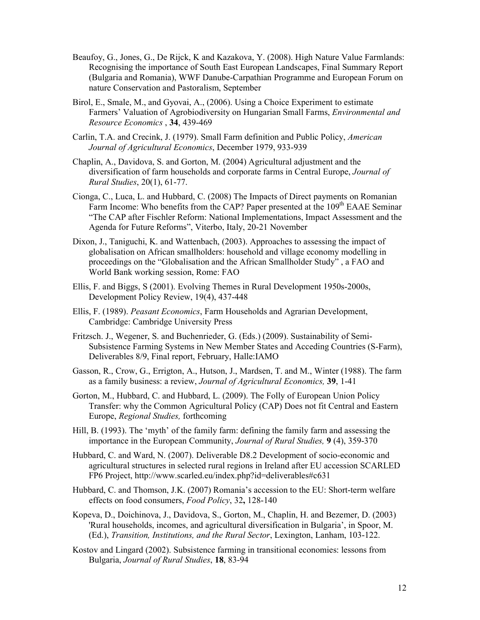- Beaufoy, G., Jones, G., De Rijck, K and Kazakova, Y. (2008). High Nature Value Farmlands: Recognising the importance of South East European Landscapes, Final Summary Report (Bulgaria and Romania), WWF Danube-Carpathian Programme and European Forum on nature Conservation and Pastoralism, September
- Birol, E., Smale, M., and Gyovai, A., (2006). Using a Choice Experiment to estimate Farmers' Valuation of Agrobiodiversity on Hungarian Small Farms, *Environmental and Resource Economics* , **34**, 439-469
- Carlin, T.A. and Crecink, J. (1979). Small Farm definition and Public Policy, *American Journal of Agricultural Economics*, December 1979, 933-939
- Chaplin, A., Davidova, S. and Gorton, M. (2004) Agricultural adjustment and the diversification of farm households and corporate farms in Central Europe, *Journal of Rural Studies*, 20(1), 61-77.
- Cionga, C., Luca, L. and Hubbard, C. (2008) The Impacts of Direct payments on Romanian Farm Income: Who benefits from the CAP? Paper presented at the 109<sup>th</sup> EAAE Seminar "The CAP after Fischler Reform: National Implementations, Impact Assessment and the Agenda for Future Reforms", Viterbo, Italy, 20-21 November
- Dixon, J., Taniguchi, K. and Wattenbach, (2003). Approaches to assessing the impact of globalisation on African smallholders: household and village economy modelling in proceedings on the "Globalisation and the African Smallholder Study" , a FAO and World Bank working session, Rome: FAO
- Ellis, F. and Biggs, S (2001). Evolving Themes in Rural Development 1950s-2000s, Development Policy Review, 19(4), 437-448
- Ellis, F. (1989). *Peasant Economics*, Farm Households and Agrarian Development, Cambridge: Cambridge University Press
- Fritzsch. J., Wegener, S. and Buchenrieder, G. (Eds.) (2009). Sustainability of Semi-Subsistence Farming Systems in New Member States and Acceding Countries (S-Farm), Deliverables 8/9, Final report, February, Halle:IAMO
- Gasson, R., Crow, G., Errigton, A., Hutson, J., Mardsen, T. and M., Winter (1988). The farm as a family business: a review, *Journal of Agricultural Economics,* **39**, 1-41
- Gorton, M., Hubbard, C. and Hubbard, L. (2009). The Folly of European Union Policy Transfer: why the Common Agricultural Policy (CAP) Does not fit Central and Eastern Europe, *Regional Studies,* forthcoming
- Hill, B. (1993). The 'myth' of the family farm: defining the family farm and assessing the importance in the European Community, *Journal of Rural Studies,* **9** (4), 359-370
- Hubbard, C. and Ward, N. (2007). Deliverable D8.2 Development of socio-economic and agricultural structures in selected rural regions in Ireland after EU accession SCARLED FP6 Project, http://www.scarled.eu/index.php?id=deliverables#c631
- Hubbard, C. and Thomson, J.K. (2007) Romania's accession to the EU: Short-term welfare effects on food consumers, *Food Policy*, 32**,** 128-140
- Kopeva, D., Doichinova, J., Davidova, S., Gorton, M., Chaplin, H. and Bezemer, D. (2003) 'Rural households, incomes, and agricultural diversification in Bulgaria', in Spoor, M. (Ed.), *Transition, Institutions, and the Rural Sector*, Lexington, Lanham, 103-122.
- Kostov and Lingard (2002). Subsistence farming in transitional economies: lessons from Bulgaria, *Journal of Rural Studies*, **18**, 83-94